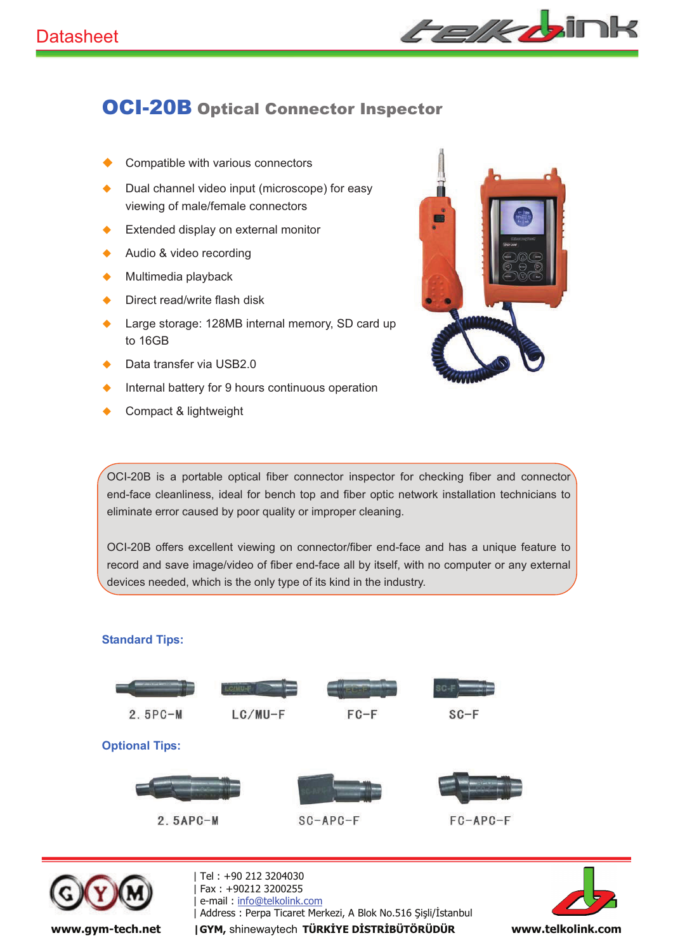

## OCI-20B Optical Connector Inspector

- Compatible with various connectors
- $\blacklozenge$  Dual channel video input (microscope) for easy viewing of male/female connectors
- ◆ Extended display on external monitor
- ◆ Audio & video recording
- Multimedia playback
- ◆ Direct read/write flash disk
- ◆ Large storage: 128MB internal memory, SD card up to 16GB
- Data transfer via USB2.0
- Internal battery for 9 hours continuous operation
- Compact & lightweight



OCI-20B is a portable optical fiber connector inspector for checking fiber and connector end-face cleanliness, ideal for bench top and fiber optic network installation technicians to eliminate error caused by poor quality or improper cleaning.

OCI-20B offers excellent viewing on connector/fiber end-face and has a unique feature to record and save image/video of fiber end-face all by itself, with no computer or any external devices needed, which is the only type of its kind in the industry.

## **Standard Tips:**





| Tel : +90 212 3204030 -Fax: +90212 3200255 e-mail: info@telkolink.com | Address : Perpa Ticaret Merkezi, A Blok No.516 Şişli/İstanbul North Martin Martin Martin Martin Martin Marti www.gym-tech.net | GYM, shinewaytech TÜRKİYE DİSTRİBÜTÖRÜDÜR